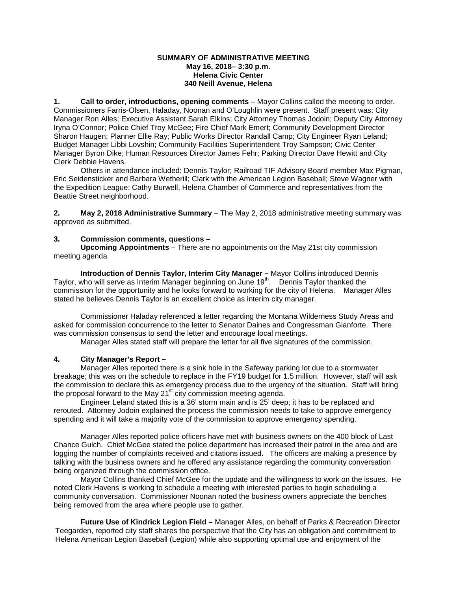## **SUMMARY OF ADMINISTRATIVE MEETING May 16, 2018– 3:30 p.m. Helena Civic Center 340 Neill Avenue, Helena**

**1. Call to order, introductions, opening comments** – Mayor Collins called the meeting to order. Commissioners Farris-Olsen, Haladay, Noonan and O'Loughlin were present. Staff present was: City Manager Ron Alles; Executive Assistant Sarah Elkins; City Attorney Thomas Jodoin; Deputy City Attorney Iryna O'Connor; Police Chief Troy McGee; Fire Chief Mark Emert; Community Development Director Sharon Haugen; Planner Ellie Ray; Public Works Director Randall Camp; City Engineer Ryan Leland; Budget Manager Libbi Lovshin; Community Facilities Superintendent Troy Sampson; Civic Center Manager Byron Dike; Human Resources Director James Fehr; Parking Director Dave Hewitt and City Clerk Debbie Havens.

Others in attendance included: Dennis Taylor; Railroad TIF Advisory Board member Max Pigman, Eric Seidensticker and Barbara Wetherill; Clark with the American Legion Baseball; Steve Wagner with the Expedition League; Cathy Burwell, Helena Chamber of Commerce and representatives from the Beattie Street neighborhood.

**2. May 2, 2018 Administrative Summary** – The May 2, 2018 administrative meeting summary was approved as submitted.

# **3. Commission comments, questions –**

**Upcoming Appointments** – There are no appointments on the May 21st city commission meeting agenda.

**Introduction of Dennis Taylor, Interim City Manager –** Mayor Collins introduced Dennis Taylor, who will serve as Interim Manager beginning on June 19<sup>th</sup>. Dennis Taylor thanked the commission for the opportunity and he looks forward to working for the city of Helena. Manager Alles stated he believes Dennis Taylor is an excellent choice as interim city manager.

Commissioner Haladay referenced a letter regarding the Montana Wilderness Study Areas and asked for commission concurrence to the letter to Senator Daines and Congressman Gianforte. There was commission consensus to send the letter and encourage local meetings.

Manager Alles stated staff will prepare the letter for all five signatures of the commission.

# **4. City Manager's Report –**

Manager Alles reported there is a sink hole in the Safeway parking lot due to a stormwater breakage; this was on the schedule to replace in the FY19 budget for 1.5 million. However, staff will ask the commission to declare this as emergency process due to the urgency of the situation. Staff will bring the proposal forward to the May 21<sup>st</sup> city commission meeting agenda.

Engineer Leland stated this is a 36' storm main and is 25' deep; it has to be replaced and rerouted. Attorney Jodoin explained the process the commission needs to take to approve emergency spending and it will take a majority vote of the commission to approve emergency spending.

Manager Alles reported police officers have met with business owners on the 400 block of Last Chance Gulch. Chief McGee stated the police department has increased their patrol in the area and are logging the number of complaints received and citations issued. The officers are making a presence by talking with the business owners and he offered any assistance regarding the community conversation being organized through the commission office.

Mayor Collins thanked Chief McGee for the update and the willingness to work on the issues. He noted Clerk Havens is working to schedule a meeting with interested parties to begin scheduling a community conversation. Commissioner Noonan noted the business owners appreciate the benches being removed from the area where people use to gather.

**Future Use of Kindrick Legion Field –** Manager Alles, on behalf of Parks & Recreation Director Teegarden, reported city staff shares the perspective that the City has an obligation and commitment to Helena American Legion Baseball (Legion) while also supporting optimal use and enjoyment of the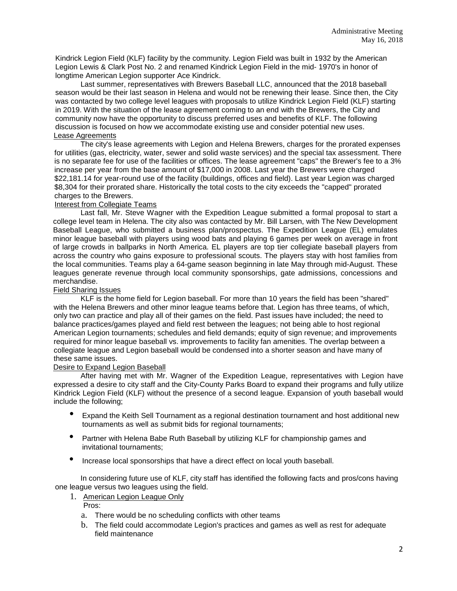Kindrick Legion Field (KLF) facility by the community. Legion Field was built in 1932 by the American Legion Lewis & Clark Post No. 2 and renamed Kindrick Legion Field in the mid- 1970's in honor of longtime American Legion supporter Ace Kindrick.

Last summer, representatives with Brewers Baseball LLC, announced that the 2018 baseball season would be their last season in Helena and would not be renewing their lease. Since then, the City was contacted by two college level leagues with proposals to utilize Kindrick Legion Field (KLF) starting in 2019. With the situation of the lease agreement coming to an end with the Brewers, the City and community now have the opportunity to discuss preferred uses and benefits of KLF. The following discussion is focused on how we accommodate existing use and consider potential new uses. Lease Agreements

The city's lease agreements with Legion and Helena Brewers, charges for the prorated expenses for utilities (gas, electricity, water, sewer and solid waste services) and the special tax assessment. There is no separate fee for use of the facilities or offices. The lease agreement "caps" the Brewer's fee to a 3% increase per year from the base amount of \$17,000 in 2008. Last year the Brewers were charged \$22,181.14 for year-round use of the facility (buildings, offices and field). Last year Legion was charged \$8,304 for their prorated share. Historically the total costs to the city exceeds the "capped" prorated charges to the Brewers.

# Interest from Collegiate Teams

Last fall, Mr. Steve Wagner with the Expedition League submitted a formal proposal to start a college level team in Helena. The city also was contacted by Mr. Bill Larsen, with The New Development Baseball League, who submitted a business plan/prospectus. The Expedition League (EL) emulates minor league baseball with players using wood bats and playing 6 games per week on average in front of large crowds in ballparks in North America. EL players are top tier collegiate baseball players from across the country who gains exposure to professional scouts. The players stay with host families from the local communities. Teams play a 64-game season beginning in late May through mid-August. These leagues generate revenue through local community sponsorships, gate admissions, concessions and merchandise.

### Field Sharing Issues

KLF is the home field for Legion baseball. For more than 10 years the field has been "shared" with the Helena Brewers and other minor league teams before that. Legion has three teams, of which, only two can practice and play all of their games on the field. Past issues have included; the need to balance practices/games played and field rest between the leagues; not being able to host regional American Legion tournaments; schedules and field demands; equity of sign revenue; and improvements required for minor league baseball vs. improvements to facility fan amenities. The overlap between a collegiate league and Legion baseball would be condensed into a shorter season and have many of these same issues.

#### Desire to Expand Legion Baseball

After having met with Mr. Wagner of the Expedition League, representatives with Legion have expressed a desire to city staff and the City-County Parks Board to expand their programs and fully utilize Kindrick Legion Field (KLF) without the presence of a second league. Expansion of youth baseball would include the following;

- Expand the Keith Sell Tournament as a regional destination tournament and host additional new tournaments as well as submit bids for regional tournaments;
- Partner with Helena Babe Ruth Baseball by utilizing KLF for championship games and invitational tournaments;
- Increase local sponsorships that have a direct effect on local youth baseball.

In considering future use of KLF, city staff has identified the following facts and pros/cons having one league versus two leagues using the field.

1. American Legion League Only

Pros:

- a. There would be no scheduling conflicts with other teams
- b. The field could accommodate Legion's practices and games as well as rest for adequate field maintenance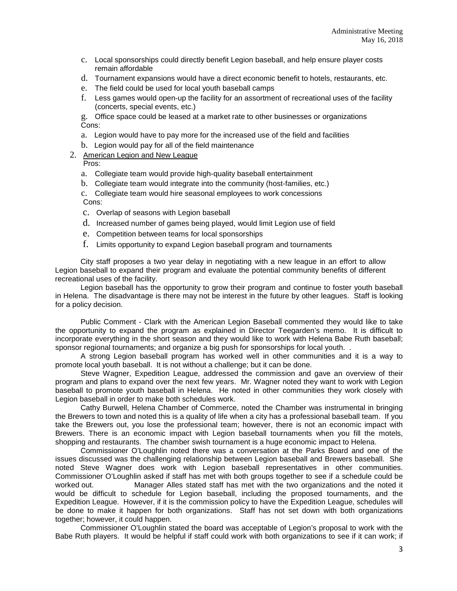- c. Local sponsorships could directly benefit Legion baseball, and help ensure player costs remain affordable
- d. Tournament expansions would have a direct economic benefit to hotels, restaurants, etc.
- e. The field could be used for local youth baseball camps
- f. Less games would open-up the facility for an assortment of recreational uses of the facility (concerts, special events, etc.)

g. Office space could be leased at a market rate to other businesses or organizations Cons:

- a. Legion would have to pay more for the increased use of the field and facilities
- b. Legion would pay for all of the field maintenance
- 2. American Legion and New League Pros:
	- a. Collegiate team would provide high-quality baseball entertainment
	- b. Collegiate team would integrate into the community (host-families, etc.)

c. Collegiate team would hire seasonal employees to work concessions Cons:

- c. Overlap of seasons with Legion baseball
- d. Increased number of games being played, would limit Legion use of field
- e. Competition between teams for local sponsorships
- f. Limits opportunity to expand Legion baseball program and tournaments

City staff proposes a two year delay in negotiating with a new league in an effort to allow Legion baseball to expand their program and evaluate the potential community benefits of different recreational uses of the facility.

Legion baseball has the opportunity to grow their program and continue to foster youth baseball in Helena. The disadvantage is there may not be interest in the future by other leagues. Staff is looking for a policy decision.

Public Comment - Clark with the American Legion Baseball commented they would like to take the opportunity to expand the program as explained in Director Teegarden's memo. It is difficult to incorporate everything in the short season and they would like to work with Helena Babe Ruth baseball; sponsor regional tournaments; and organize a big push for sponsorships for local youth. .

A strong Legion baseball program has worked well in other communities and it is a way to promote local youth baseball. It is not without a challenge; but it can be done.

Steve Wagner, Expedition League, addressed the commission and gave an overview of their program and plans to expand over the next few years. Mr. Wagner noted they want to work with Legion baseball to promote youth baseball in Helena. He noted in other communities they work closely with Legion baseball in order to make both schedules work.

Cathy Burwell, Helena Chamber of Commerce, noted the Chamber was instrumental in bringing the Brewers to town and noted this is a quality of life when a city has a professional baseball team. If you take the Brewers out, you lose the professional team; however, there is not an economic impact with Brewers. There is an economic impact with Legion baseball tournaments when you fill the motels, shopping and restaurants. The chamber swish tournament is a huge economic impact to Helena.

Commissioner O'Loughlin noted there was a conversation at the Parks Board and one of the issues discussed was the challenging relationship between Legion baseball and Brewers baseball. She noted Steve Wagner does work with Legion baseball representatives in other communities. Commissioner O'Loughlin asked if staff has met with both groups together to see if a schedule could be Manager Alles stated staff has met with the two organizations and the noted it would be difficult to schedule for Legion baseball, including the proposed tournaments, and the Expedition League. However, if it is the commission policy to have the Expedition League, schedules will be done to make it happen for both organizations. Staff has not set down with both organizations together; however, it could happen.

Commissioner O'Loughlin stated the board was acceptable of Legion's proposal to work with the Babe Ruth players. It would be helpful if staff could work with both organizations to see if it can work; if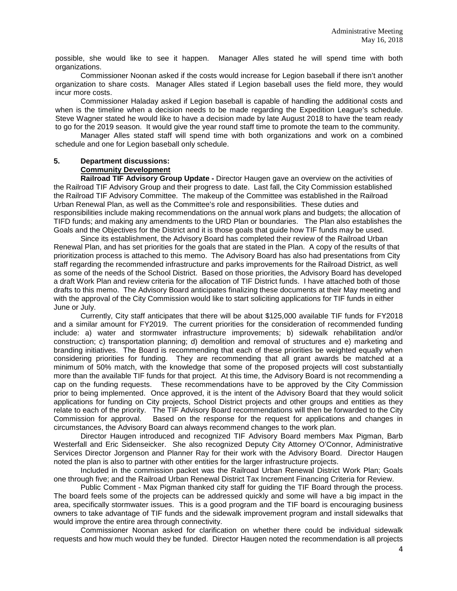possible, she would like to see it happen. Manager Alles stated he will spend time with both organizations.

Commissioner Noonan asked if the costs would increase for Legion baseball if there isn't another organization to share costs. Manager Alles stated if Legion baseball uses the field more, they would incur more costs.

Commissioner Haladay asked if Legion baseball is capable of handling the additional costs and when is the timeline when a decision needs to be made regarding the Expedition League's schedule. Steve Wagner stated he would like to have a decision made by late August 2018 to have the team ready to go for the 2019 season. It would give the year round staff time to promote the team to the community.

Manager Alles stated staff will spend time with both organizations and work on a combined schedule and one for Legion baseball only schedule.

# **5. Department discussions:**

**Community Development**

**Railroad TIF Advisory Group Update -** Director Haugen gave an overview on the activities of the Railroad TIF Advisory Group and their progress to date. Last fall, the City Commission established the Railroad TIF Advisory Committee. The makeup of the Committee was established in the Railroad Urban Renewal Plan, as well as the Committee's role and responsibilities. These duties and responsibilities include making recommendations on the annual work plans and budgets; the allocation of TIFD funds; and making any amendments to the URD Plan or boundaries. The Plan also establishes the Goals and the Objectives for the District and it is those goals that guide how TIF funds may be used.

Since its establishment, the Advisory Board has completed their review of the Railroad Urban Renewal Plan, and has set priorities for the goals that are stated in the Plan. A copy of the results of that prioritization process is attached to this memo. The Advisory Board has also had presentations from City staff regarding the recommended infrastructure and parks improvements for the Railroad District, as well as some of the needs of the School District. Based on those priorities, the Advisory Board has developed a draft Work Plan and review criteria for the allocation of TIF District funds. I have attached both of those drafts to this memo. The Advisory Board anticipates finalizing these documents at their May meeting and with the approval of the City Commission would like to start soliciting applications for TIF funds in either June or July.

Currently, City staff anticipates that there will be about \$125,000 available TIF funds for FY2018 and a similar amount for FY2019. The current priorities for the consideration of recommended funding include: a) water and stormwater infrastructure improvements; b) sidewalk rehabilitation and/or construction; c) transportation planning; d) demolition and removal of structures and e) marketing and branding initiatives. The Board is recommending that each of these priorities be weighted equally when considering priorities for funding. They are recommending that all grant awards be matched at a minimum of 50% match, with the knowledge that some of the proposed projects will cost substantially more than the available TIF funds for that project. At this time, the Advisory Board is not recommending a cap on the funding requests. These recommendations have to be approved by the City Commission prior to being implemented. Once approved, it is the intent of the Advisory Board that they would solicit applications for funding on City projects, School District projects and other groups and entities as they relate to each of the priority. The TIF Advisory Board recommendations will then be forwarded to the City Commission for approval. Based on the response for the request for applications and changes in circumstances, the Advisory Board can always recommend changes to the work plan.

Director Haugen introduced and recognized TIF Advisory Board members Max Pigman, Barb Westerfall and Eric Sidenseicker. She also recognized Deputy City Attorney O'Connor, Administrative Services Director Jorgenson and Planner Ray for their work with the Advisory Board. Director Haugen noted the plan is also to partner with other entities for the larger infrastructure projects.

Included in the commission packet was the Railroad Urban Renewal District Work Plan; Goals one through five; and the Railroad Urban Renewal District Tax Increment Financing Criteria for Review.

Public Comment - Max Pigman thanked city staff for guiding the TIF Board through the process. The board feels some of the projects can be addressed quickly and some will have a big impact in the area, specifically stormwater issues. This is a good program and the TIF board is encouraging business owners to take advantage of TIF funds and the sidewalk improvement program and install sidewalks that would improve the entire area through connectivity.

Commissioner Noonan asked for clarification on whether there could be individual sidewalk requests and how much would they be funded. Director Haugen noted the recommendation is all projects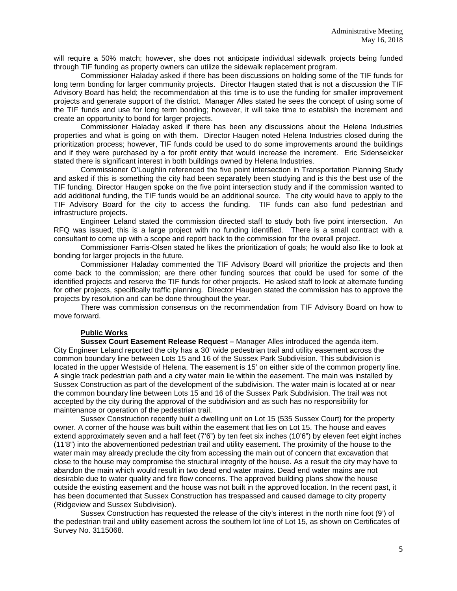will require a 50% match; however, she does not anticipate individual sidewalk projects being funded through TIF funding as property owners can utilize the sidewalk replacement program.

Commissioner Haladay asked if there has been discussions on holding some of the TIF funds for long term bonding for larger community projects. Director Haugen stated that is not a discussion the TIF Advisory Board has held; the recommendation at this time is to use the funding for smaller improvement projects and generate support of the district. Manager Alles stated he sees the concept of using some of the TIF funds and use for long term bonding; however, it will take time to establish the increment and create an opportunity to bond for larger projects.

Commissioner Haladay asked if there has been any discussions about the Helena Industries properties and what is going on with them. Director Haugen noted Helena Industries closed during the prioritization process; however, TIF funds could be used to do some improvements around the buildings and if they were purchased by a for profit entity that would increase the increment. Eric Sidenseicker stated there is significant interest in both buildings owned by Helena Industries.

Commissioner O'Loughlin referenced the five point intersection in Transportation Planning Study and asked if this is something the city had been separately been studying and is this the best use of the TIF funding. Director Haugen spoke on the five point intersection study and if the commission wanted to add additional funding, the TIF funds would be an additional source. The city would have to apply to the TIF Advisory Board for the city to access the funding. TIF funds can also fund pedestrian and infrastructure projects.

Engineer Leland stated the commission directed staff to study both five point intersection. An RFQ was issued; this is a large project with no funding identified. There is a small contract with a consultant to come up with a scope and report back to the commission for the overall project.

Commissioner Farris-Olsen stated he likes the prioritization of goals; he would also like to look at bonding for larger projects in the future.

Commissioner Haladay commented the TIF Advisory Board will prioritize the projects and then come back to the commission; are there other funding sources that could be used for some of the identified projects and reserve the TIF funds for other projects. He asked staff to look at alternate funding for other projects, specifically traffic planning. Director Haugen stated the commission has to approve the projects by resolution and can be done throughout the year.

There was commission consensus on the recommendation from TIF Advisory Board on how to move forward.

# **Public Works**

**Sussex Court Easement Release Request –** Manager Alles introduced the agenda item. City Engineer Leland reported the city has a 30' wide pedestrian trail and utility easement across the common boundary line between Lots 15 and 16 of the Sussex Park Subdivision. This subdivision is located in the upper Westside of Helena. The easement is 15' on either side of the common property line. A single track pedestrian path and a city water main lie within the easement. The main was installed by Sussex Construction as part of the development of the subdivision. The water main is located at or near the common boundary line between Lots 15 and 16 of the Sussex Park Subdivision. The trail was not accepted by the city during the approval of the subdivision and as such has no responsibility for maintenance or operation of the pedestrian trail.

Sussex Construction recently built a dwelling unit on Lot 15 (535 Sussex Court) for the property owner. A corner of the house was built within the easement that lies on Lot 15. The house and eaves extend approximately seven and a half feet (7'6") by ten feet six inches (10'6") by eleven feet eight inches (11'8") into the abovementioned pedestrian trail and utility easement. The proximity of the house to the water main may already preclude the city from accessing the main out of concern that excavation that close to the house may compromise the structural integrity of the house. As a result the city may have to abandon the main which would result in two dead end water mains. Dead end water mains are not desirable due to water quality and fire flow concerns. The approved building plans show the house outside the existing easement and the house was not built in the approved location. In the recent past, it has been documented that Sussex Construction has trespassed and caused damage to city property (Ridgeview and Sussex Subdivision).

Sussex Construction has requested the release of the city's interest in the north nine foot (9') of the pedestrian trail and utility easement across the southern lot line of Lot 15, as shown on Certificates of Survey No. 3115068.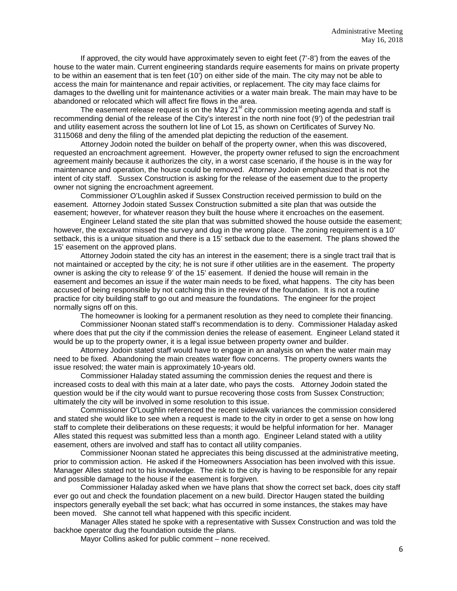If approved, the city would have approximately seven to eight feet (7'-8') from the eaves of the house to the water main. Current engineering standards require easements for mains on private property to be within an easement that is ten feet (10') on either side of the main. The city may not be able to access the main for maintenance and repair activities, or replacement. The city may face claims for damages to the dwelling unit for maintenance activities or a water main break. The main may have to be abandoned or relocated which will affect fire flows in the area.

The easement release request is on the May 21 $^{\text{st}}$  city commission meeting agenda and staff is recommending denial of the release of the City's interest in the north nine foot (9') of the pedestrian trail and utility easement across the southern lot line of Lot 15, as shown on Certificates of Survey No. 3115068 and deny the filing of the amended plat depicting the reduction of the easement.

Attorney Jodoin noted the builder on behalf of the property owner, when this was discovered, requested an encroachment agreement. However, the property owner refused to sign the encroachment agreement mainly because it authorizes the city, in a worst case scenario, if the house is in the way for maintenance and operation, the house could be removed. Attorney Jodoin emphasized that is not the intent of city staff. Sussex Construction is asking for the release of the easement due to the property owner not signing the encroachment agreement.

Commissioner O'Loughlin asked if Sussex Construction received permission to build on the easement. Attorney Jodoin stated Sussex Construction submitted a site plan that was outside the easement; however, for whatever reason they built the house where it encroaches on the easement.

Engineer Leland stated the site plan that was submitted showed the house outside the easement; however, the excavator missed the survey and dug in the wrong place. The zoning requirement is a 10' setback, this is a unique situation and there is a 15' setback due to the easement. The plans showed the 15' easement on the approved plans.

Attorney Jodoin stated the city has an interest in the easement; there is a single tract trail that is not maintained or accepted by the city; he is not sure if other utilities are in the easement. The property owner is asking the city to release 9' of the 15' easement. If denied the house will remain in the easement and becomes an issue if the water main needs to be fixed, what happens. The city has been accused of being responsible by not catching this in the review of the foundation. It is not a routine practice for city building staff to go out and measure the foundations. The engineer for the project normally signs off on this.

The homeowner is looking for a permanent resolution as they need to complete their financing.

Commissioner Noonan stated staff's recommendation is to deny. Commissioner Haladay asked where does that put the city if the commission denies the release of easement. Engineer Leland stated it would be up to the property owner, it is a legal issue between property owner and builder.

Attorney Jodoin stated staff would have to engage in an analysis on when the water main may need to be fixed. Abandoning the main creates water flow concerns. The property owners wants the issue resolved; the water main is approximately 10-years old.

Commissioner Haladay stated assuming the commission denies the request and there is increased costs to deal with this main at a later date, who pays the costs. Attorney Jodoin stated the question would be if the city would want to pursue recovering those costs from Sussex Construction; ultimately the city will be involved in some resolution to this issue.

Commissioner O'Loughlin referenced the recent sidewalk variances the commission considered and stated she would like to see when a request is made to the city in order to get a sense on how long staff to complete their deliberations on these requests; it would be helpful information for her. Manager Alles stated this request was submitted less than a month ago. Engineer Leland stated with a utility easement, others are involved and staff has to contact all utility companies.

Commissioner Noonan stated he appreciates this being discussed at the administrative meeting, prior to commission action. He asked if the Homeowners Association has been involved with this issue. Manager Alles stated not to his knowledge. The risk to the city is having to be responsible for any repair and possible damage to the house if the easement is forgiven.

Commissioner Haladay asked when we have plans that show the correct set back, does city staff ever go out and check the foundation placement on a new build. Director Haugen stated the building inspectors generally eyeball the set back; what has occurred in some instances, the stakes may have been moved. She cannot tell what happened with this specific incident.

Manager Alles stated he spoke with a representative with Sussex Construction and was told the backhoe operator dug the foundation outside the plans.

Mayor Collins asked for public comment – none received.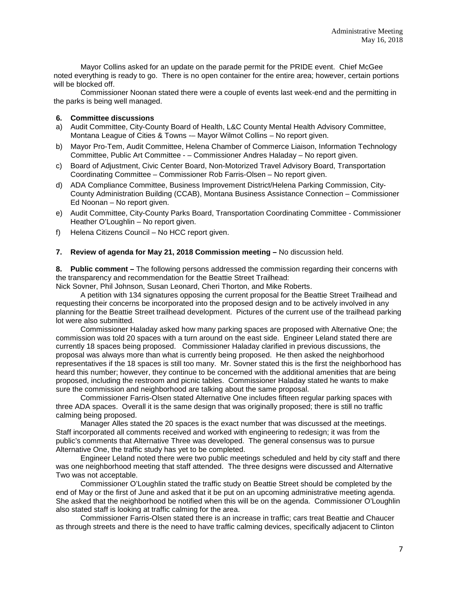Mayor Collins asked for an update on the parade permit for the PRIDE event. Chief McGee noted everything is ready to go. There is no open container for the entire area; however, certain portions will be blocked off.

Commissioner Noonan stated there were a couple of events last week-end and the permitting in the parks is being well managed.

# **6. Committee discussions**

- a) Audit Committee, City-County Board of Health, L&C County Mental Health Advisory Committee, Montana League of Cities & Towns -– Mayor Wilmot Collins – No report given.
- b) Mayor Pro-Tem, Audit Committee, Helena Chamber of Commerce Liaison, Information Technology Committee, Public Art Committee - – Commissioner Andres Haladay – No report given.
- c) Board of Adjustment, Civic Center Board, Non-Motorized Travel Advisory Board, Transportation Coordinating Committee – Commissioner Rob Farris-Olsen – No report given.
- d) ADA Compliance Committee, Business Improvement District/Helena Parking Commission, City-County Administration Building (CCAB), Montana Business Assistance Connection – Commissioner Ed Noonan – No report given.
- e) Audit Committee, City-County Parks Board, Transportation Coordinating Committee Commissioner Heather O'Loughlin – No report given.
- f) Helena Citizens Council No HCC report given.

### **7. Review of agenda for May 21, 2018 Commission meeting –** No discussion held.

**8. Public comment –** The following persons addressed the commission regarding their concerns with the transparency and recommendation for the Beattie Street Trailhead:

Nick Sovner, Phil Johnson, Susan Leonard, Cheri Thorton, and Mike Roberts.

A petition with 134 signatures opposing the current proposal for the Beattie Street Trailhead and requesting their concerns be incorporated into the proposed design and to be actively involved in any planning for the Beattie Street trailhead development. Pictures of the current use of the trailhead parking lot were also submitted.

Commissioner Haladay asked how many parking spaces are proposed with Alternative One; the commission was told 20 spaces with a turn around on the east side. Engineer Leland stated there are currently 18 spaces being proposed. Commissioner Haladay clarified in previous discussions, the proposal was always more than what is currently being proposed. He then asked the neighborhood representatives if the 18 spaces is still too many. Mr. Sovner stated this is the first the neighborhood has heard this number; however, they continue to be concerned with the additional amenities that are being proposed, including the restroom and picnic tables. Commissioner Haladay stated he wants to make sure the commission and neighborhood are talking about the same proposal.

Commissioner Farris-Olsen stated Alternative One includes fifteen regular parking spaces with three ADA spaces. Overall it is the same design that was originally proposed; there is still no traffic calming being proposed.

Manager Alles stated the 20 spaces is the exact number that was discussed at the meetings. Staff incorporated all comments received and worked with engineering to redesign; it was from the public's comments that Alternative Three was developed. The general consensus was to pursue Alternative One, the traffic study has yet to be completed.

Engineer Leland noted there were two public meetings scheduled and held by city staff and there was one neighborhood meeting that staff attended. The three designs were discussed and Alternative Two was not acceptable.

Commissioner O'Loughlin stated the traffic study on Beattie Street should be completed by the end of May or the first of June and asked that it be put on an upcoming administrative meeting agenda. She asked that the neighborhood be notified when this will be on the agenda. Commissioner O'Loughlin also stated staff is looking at traffic calming for the area.

Commissioner Farris-Olsen stated there is an increase in traffic; cars treat Beattie and Chaucer as through streets and there is the need to have traffic calming devices, specifically adjacent to Clinton